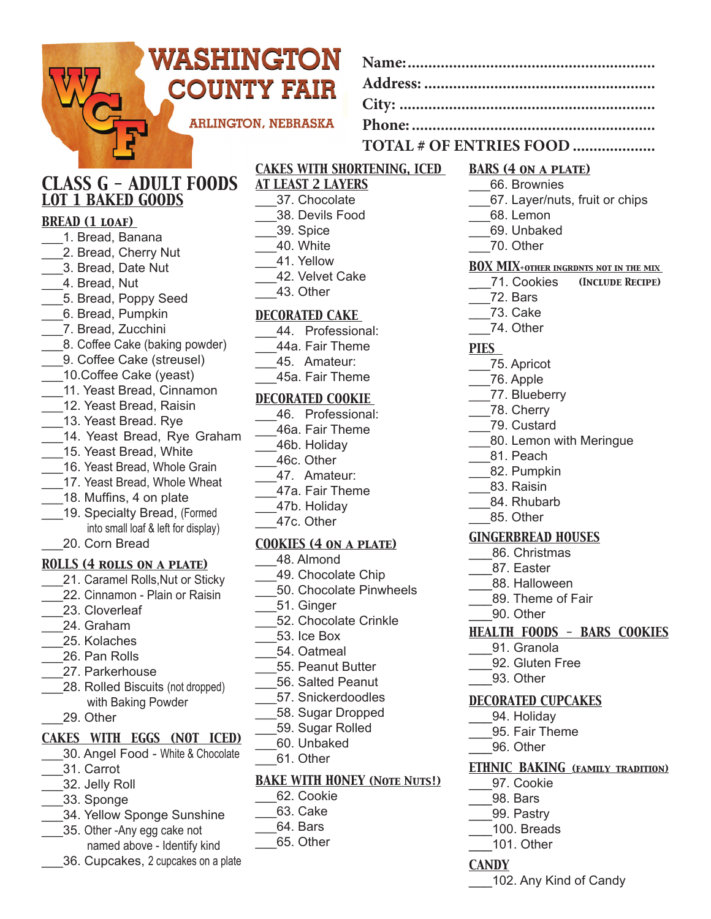| WASHINGTON                                            |                                       |                                                                                 |
|-------------------------------------------------------|---------------------------------------|---------------------------------------------------------------------------------|
|                                                       |                                       |                                                                                 |
|                                                       | <b>COUNTY FAIR</b>                    |                                                                                 |
|                                                       | <b>ARLINGTON, NEBRASKA</b>            |                                                                                 |
|                                                       |                                       |                                                                                 |
| TOTAL # OF ENTRIES FOOD                               |                                       |                                                                                 |
|                                                       | <b>CAKES WITH SHORTENING, ICED</b>    | <b>BARS (4 ON A PLATE)</b>                                                      |
| <b>CLASS G - ADULT FOODS</b>                          | <b>AT LEAST 2 LAYERS</b>              | 66. Brownies                                                                    |
| <b>LOT 1 BAKED GOODS</b>                              | 37. Chocolate                         | 67. Layer/nuts, fruit or chips                                                  |
| <b>BREAD (1 LOAF)</b>                                 | 38. Devils Food<br>39. Spice          | 68. Lemon<br>69. Unbaked                                                        |
| 1. Bread, Banana                                      | 40. White                             | 70. Other                                                                       |
| 2. Bread, Cherry Nut                                  | 41. Yellow                            |                                                                                 |
| 3. Bread, Date Nut                                    | 42. Velvet Cake                       | <b>BOX MIX+OTHER INGRDNTS NOT IN THE MIX</b><br>71. Cookies<br>(INCLUDE RECIPE) |
| 4. Bread, Nut<br>5. Bread, Poppy Seed                 | 43. Other                             | 72. Bars                                                                        |
| 6. Bread, Pumpkin                                     | <b>DECORATED CAKE</b>                 | 73. Cake                                                                        |
| 7. Bread, Zucchini                                    | 44. Professional:                     | 74. Other                                                                       |
| 8. Coffee Cake (baking powder)                        | 44a. Fair Theme                       | <b>PIES</b>                                                                     |
| 9. Coffee Cake (streusel)                             | 45. Amateur:                          | 75. Apricot                                                                     |
| 10. Coffee Cake (yeast)                               | 45a. Fair Theme                       | 76. Apple                                                                       |
| 11. Yeast Bread, Cinnamon                             | <b>DECORATED COOKIE</b>               | 77. Blueberry                                                                   |
| 12. Yeast Bread, Raisin                               | 46. Professional:                     | ___78. Cherry                                                                   |
| 13. Yeast Bread. Rye                                  | 46a. Fair Theme                       | 79. Custard                                                                     |
| 14. Yeast Bread, Rye Graham<br>15. Yeast Bread, White | 46b. Holiday                          | 80. Lemon with Meringue                                                         |
| 16. Yeast Bread, Whole Grain                          | 46c. Other                            | ___81. Peach                                                                    |
| 17. Yeast Bread, Whole Wheat                          | 47. Amateur:                          | 82. Pumpkin                                                                     |
| 18. Muffins, 4 on plate                               | 47a. Fair Theme                       | 83. Raisin<br>84. Rhubarb                                                       |
| 19. Specialty Bread, (Formed                          | 47b. Holiday                          | 85. Other                                                                       |
| into small loaf & left for display)                   | 47c. Other                            | <b>GINGERBREAD HOUSES</b>                                                       |
| 20. Corn Bread                                        | <b>COOKIES (4 ON A PLATE)</b>         | 86. Christmas                                                                   |
| <b>ROLLS (4 ROLLS ON A PLATE)</b>                     | 48. Almond                            | 87. Easter                                                                      |
| 21. Caramel Rolls, Nut or Sticky                      | 49. Chocolate Chip                    | 88. Halloween                                                                   |
| 22. Cinnamon - Plain or Raisin                        | 50. Chocolate Pinwheels<br>51. Ginger | 89. Theme of Fair                                                               |
| 23. Cloverleaf                                        | 52. Chocolate Crinkle                 | 90. Other                                                                       |
| 24. Graham                                            | 53. Ice Box                           | <b>HEALTH FOODS - BARS COOKIES</b>                                              |
| 25. Kolaches<br>26. Pan Rolls                         | 54. Oatmeal                           | 91. Granola                                                                     |
| 27. Parkerhouse                                       | 55. Peanut Butter                     | 92. Gluten Free                                                                 |
| 28. Rolled Biscuits (not dropped)                     | 56. Salted Peanut                     | 93. Other                                                                       |
| with Baking Powder                                    | 57. Snickerdoodles                    | <b>DECORATED CUPCAKES</b>                                                       |
| 29. Other                                             | 58. Sugar Dropped                     | 94. Holiday                                                                     |
| <b>CAKES WITH EGGS (NOT ICED)</b>                     | 59. Sugar Rolled                      | 95. Fair Theme                                                                  |
| 30. Angel Food - White & Chocolate                    | 60. Unbaked                           | 96. Other                                                                       |
| 31. Carrot                                            | 61. Other                             | ETHNIC BAKING (FAMILY TRADITION)                                                |
| 32. Jelly Roll                                        | <b>BAKE WITH HONEY (NOTE NUTS!)</b>   | 97. Cookie                                                                      |
| 33. Sponge                                            | 62. Cookie                            | 98. Bars                                                                        |
| 34. Yellow Sponge Sunshine                            | 63. Cake                              | 99. Pastry                                                                      |
| 35. Other - Any egg cake not                          | 64. Bars                              | 100. Breads                                                                     |

\_\_\_65. Other

\_\_\_101. Other

\_\_\_\_102. Any Kind of Candy

*CANDY*

 named above - Identify kind \_\_\_36. Cupcakes, 2 cupcakes on a plate